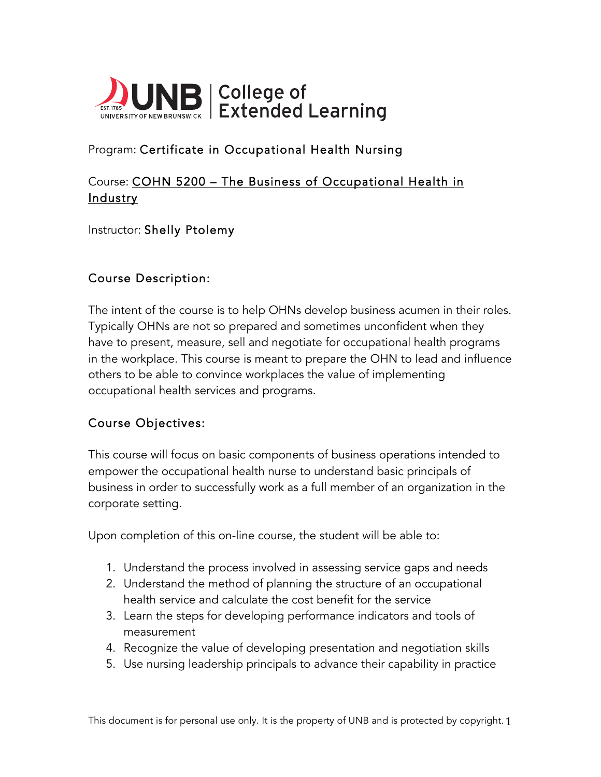

# Program: Certificate in Occupational Health Nursing

# Course: COHN 5200 – The Business of Occupational Health in <u>Industry</u>

### Instructor: Shelly Ptolemy

## Course Description:

The intent of the course is to help OHNs develop business acumen in their roles. Typically OHNs are not so prepared and sometimes unconfident when they have to present, measure, sell and negotiate for occupational health programs in the workplace. This course is meant to prepare the OHN to lead and influence others to be able to convince workplaces the value of implementing occupational health services and programs.

### Course Objectives:

This course will focus on basic components of business operations intended to empower the occupational health nurse to understand basic principals of business in order to successfully work as a full member of an organization in the corporate setting.

Upon completion of this on-line course, the student will be able to:

- 1. Understand the process involved in assessing service gaps and needs
- 2. Understand the method of planning the structure of an occupational health service and calculate the cost benefit for the service
- 3. Learn the steps for developing performance indicators and tools of measurement
- 4. Recognize the value of developing presentation and negotiation skills
- 5. Use nursing leadership principals to advance their capability in practice